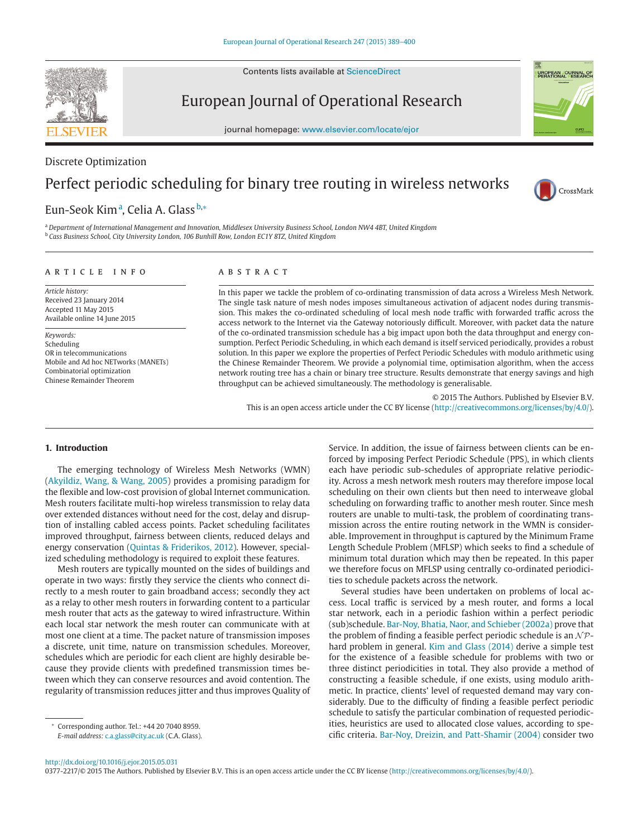Contents lists available at [ScienceDirect](http://www.ScienceDirect.com)



European Journal of Operational Research

journal homepage: [www.elsevier.com/locate/ejor](http://www.elsevier.com/locate/ejor)

## Discrete Optimization Perfect periodic scheduling for binary tree routing in wireless networks



**ERICOPEAN JOURNAL**<br>PERATIONAL RESEA

## Eun-Seok Kimª, Celia A. Glass <sup>b,</sup>\*

<sup>a</sup> *Department of International Management and Innovation, Middlesex University Business School, London NW4 4BT, United Kingdom* <sup>b</sup> *Cass Business School, City University London, 106 Bunhill Row, London EC1Y 8TZ, United Kingdom*

#### article info

*Article history:* Received 23 January 2014 Accepted 11 May 2015 Available online 14 June 2015

*Keywords:* Scheduling OR in telecommunications Mobile and Ad hoc NETworks (MANETs) Combinatorial optimization Chinese Remainder Theorem

### **ABSTRACT**

In this paper we tackle the problem of co-ordinating transmission of data across a Wireless Mesh Network. The single task nature of mesh nodes imposes simultaneous activation of adjacent nodes during transmission. This makes the co-ordinated scheduling of local mesh node traffic with forwarded traffic across the access network to the Internet via the Gateway notoriously difficult. Moreover, with packet data the nature of the co-ordinated transmission schedule has a big impact upon both the data throughput and energy consumption. Perfect Periodic Scheduling, in which each demand is itself serviced periodically, provides a robust solution. In this paper we explore the properties of Perfect Periodic Schedules with modulo arithmetic using the Chinese Remainder Theorem. We provide a polynomial time, optimisation algorithm, when the access network routing tree has a chain or binary tree structure. Results demonstrate that energy savings and high throughput can be achieved simultaneously. The methodology is generalisable.

© 2015 The Authors. Published by Elsevier B.V. This is an open access article under the CC BY license [\(http://creativecommons.org/licenses/by/4.0/\)](http://creativecommons.org/licenses/by/4.0/).

#### **1. Introduction**

The emerging technology of Wireless Mesh Networks (WMN) [\(Akyildiz, Wang, & Wang, 2005\)](#page--1-0) provides a promising paradigm for the flexible and low-cost provision of global Internet communication. Mesh routers facilitate multi-hop wireless transmission to relay data over extended distances without need for the cost, delay and disruption of installing cabled access points. Packet scheduling facilitates improved throughput, fairness between clients, reduced delays and energy conservation [\(Quintas & Friderikos, 2012\)](#page--1-0). However, specialized scheduling methodology is required to exploit these features.

Mesh routers are typically mounted on the sides of buildings and operate in two ways: firstly they service the clients who connect directly to a mesh router to gain broadband access; secondly they act as a relay to other mesh routers in forwarding content to a particular mesh router that acts as the gateway to wired infrastructure. Within each local star network the mesh router can communicate with at most one client at a time. The packet nature of transmission imposes a discrete, unit time, nature on transmission schedules. Moreover, schedules which are periodic for each client are highly desirable because they provide clients with predefined transmission times between which they can conserve resources and avoid contention. The regularity of transmission reduces jitter and thus improves Quality of Service. In addition, the issue of fairness between clients can be enforced by imposing Perfect Periodic Schedule (PPS), in which clients each have periodic sub-schedules of appropriate relative periodicity. Across a mesh network mesh routers may therefore impose local scheduling on their own clients but then need to interweave global scheduling on forwarding traffic to another mesh router. Since mesh routers are unable to multi-task, the problem of coordinating transmission across the entire routing network in the WMN is considerable. Improvement in throughput is captured by the Minimum Frame Length Schedule Problem (MFLSP) which seeks to find a schedule of minimum total duration which may then be repeated. In this paper we therefore focus on MFLSP using centrally co-ordinated periodicities to schedule packets across the network.

Several studies have been undertaken on problems of local access. Local traffic is serviced by a mesh router, and forms a local star network, each in a periodic fashion within a perfect periodic (sub)schedule. [Bar-Noy, Bhatia, Naor, and Schieber \(2002a\)](#page--1-0) prove that the problem of finding a feasible perfect periodic schedule is an  $N\mathcal{P}$ hard problem in general. [Kim and Glass \(2014\)](#page--1-0) derive a simple test for the existence of a feasible schedule for problems with two or three distinct periodicities in total. They also provide a method of constructing a feasible schedule, if one exists, using modulo arithmetic. In practice, clients' level of requested demand may vary considerably. Due to the difficulty of finding a feasible perfect periodic schedule to satisfy the particular combination of requested periodicities, heuristics are used to allocated close values, according to specific criteria. [Bar-Noy, Dreizin, and Patt-Shamir \(2004\)](#page--1-0) consider two

<http://dx.doi.org/10.1016/j.ejor.2015.05.031>

0377-2217/© 2015 The Authors. Published by Elsevier B.V. This is an open access article under the CC BY license [\(http://creativecommons.org/licenses/by/4.0/\)](http://creativecommons.org/licenses/by/4.0/).

Corresponding author. Tel.: +44 20 7040 8959.

*E-mail address:* [c.a.glass@city.ac.uk](mailto:c.a.glass@city.ac.uk) (C.A. Glass).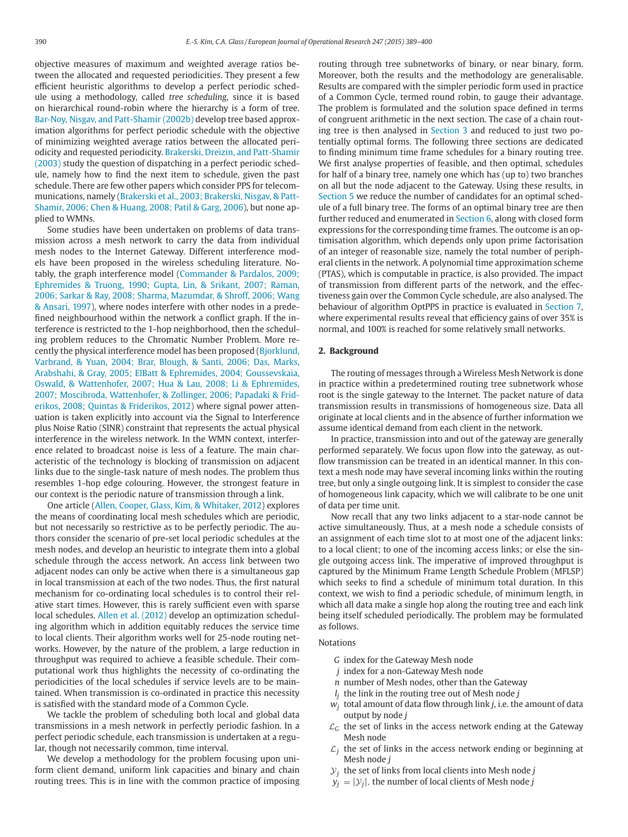objective measures of maximum and weighted average ratios between the allocated and requested periodicities. They present a few efficient heuristic algorithms to develop a perfect periodic schedule using a methodology, called *tree scheduling*, since it is based on hierarchical round-robin where the hierarchy is a form of tree. [Bar-Noy, Nisgav, and Patt-Shamir \(2002b\)](#page--1-0) develop tree based approximation algorithms for perfect periodic schedule with the objective of minimizing weighted average ratios between the allocated periodicity and requested periodicity. Brakerski, Dreizin, and Patt-Shamir (2003) [study the question of dispatching in a perfect periodic sched](#page--1-0)ule, namely how to find the next item to schedule, given the past schedule. There are few other papers which consider PPS for telecommunications, namely (Brakerski et al., 2003; Brakerski, Nisgav, & Patt-[Shamir, 2006; Chen & Huang, 2008; Patil & Garg, 2006\), but none ap](#page--1-0)plied to WMNs.

Some studies have been undertaken on problems of data transmission across a mesh network to carry the data from individual mesh nodes to the Internet Gateway. Different interference models have been proposed in the wireless scheduling literature. Notably, the graph interference model (Commander & Pardalos, 2009; Ephremides & Truong, 1990; Gupta, Lin, & Srikant, 2007; Raman, 2006; Sarkar & Ray, 2008; Sharma, Mazumdar, & Shroff, 2006; Wang [& Ansari, 1997\), where nodes interfere with other nodes in a prede](#page--1-0)fined neighbourhood within the network a conflict graph. If the interference is restricted to the 1-hop neighborhood, then the scheduling problem reduces to the Chromatic Number Problem. More recently the physical interference model has been proposed (Bjorklund, Varbrand, & Yuan, 2004; Brar, Blough, & Santi, 2006; Das, Marks, Arabshahi, & Gray, 2005; ElBatt & Ephremides, 2004; Goussevskaia, [Oswald, & Wattenhofer, 2007; Hua & Lau, 2008; Li & Ephremides,](#page--1-0) 2007; Moscibroda, Wattenhofer, & Zollinger, 2006; Papadaki & Friderikos, 2008; Quintas & Friderikos, 2012) where signal power attenuation is taken explicitly into account via the Signal to Interference plus Noise Ratio (SINR) constraint that represents the actual physical interference in the wireless network. In the WMN context, interference related to broadcast noise is less of a feature. The main characteristic of the technology is blocking of transmission on adjacent links due to the single-task nature of mesh nodes. The problem thus resembles 1-hop edge colouring. However, the strongest feature in our context is the periodic nature of transmission through a link.

One article [\(Allen, Cooper, Glass, Kim, & Whitaker, 2012\)](#page--1-0) explores the means of coordinating local mesh schedules which are periodic, but not necessarily so restrictive as to be perfectly periodic. The authors consider the scenario of pre-set local periodic schedules at the mesh nodes, and develop an heuristic to integrate them into a global schedule through the access network. An access link between two adjacent nodes can only be active when there is a simultaneous gap in local transmission at each of the two nodes. Thus, the first natural mechanism for co-ordinating local schedules is to control their relative start times. However, this is rarely sufficient even with sparse local schedules. [Allen et al. \(2012\)](#page--1-0) develop an optimization scheduling algorithm which in addition equitably reduces the service time to local clients. Their algorithm works well for 25-node routing networks. However, by the nature of the problem, a large reduction in throughput was required to achieve a feasible schedule. Their computational work thus highlights the necessity of co-ordinating the periodicities of the local schedules if service levels are to be maintained. When transmission is co-ordinated in practice this necessity is satisfied with the standard mode of a Common Cycle.

We tackle the problem of scheduling both local and global data transmissions in a mesh network in perfectly periodic fashion. In a perfect periodic schedule, each transmission is undertaken at a regular, though not necessarily common, time interval.

We develop a methodology for the problem focusing upon uniform client demand, uniform link capacities and binary and chain routing trees. This is in line with the common practice of imposing routing through tree subnetworks of binary, or near binary, form. Moreover, both the results and the methodology are generalisable. Results are compared with the simpler periodic form used in practice of a Common Cycle, termed round robin, to gauge their advantage. The problem is formulated and the solution space defined in terms of congruent arithmetic in the next section. The case of a chain routing tree is then analysed in [Section 3](#page--1-0) and reduced to just two potentially optimal forms. The following three sections are dedicated to finding minimum time frame schedules for a binary routing tree. We first analyse properties of feasible, and then optimal, schedules for half of a binary tree, namely one which has (up to) two branches on all but the node adjacent to the Gateway. Using these results, in [Section 5](#page--1-0) we reduce the number of candidates for an optimal schedule of a full binary tree. The forms of an optimal binary tree are then further reduced and enumerated in [Section 6,](#page--1-0) along with closed form expressions for the corresponding time frames. The outcome is an optimisation algorithm, which depends only upon prime factorisation of an integer of reasonable size, namely the total number of peripheral clients in the network. A polynomial time approximation scheme (PTAS), which is computable in practice, is also provided. The impact of transmission from different parts of the network, and the effectiveness gain over the Common Cycle schedule, are also analysed. The behaviour of algorithm OptPPS in practice is evaluated in [Section 7,](#page--1-0) where experimental results reveal that efficiency gains of over 35% is normal, and 100% is reached for some relatively small networks.

#### **2. Background**

The routing of messages through a Wireless Mesh Network is done in practice within a predetermined routing tree subnetwork whose root is the single gateway to the Internet. The packet nature of data transmission results in transmissions of homogeneous size. Data all originate at local clients and in the absence of further information we assume identical demand from each client in the network.

In practice, transmission into and out of the gateway are generally performed separately. We focus upon flow into the gateway, as outflow transmission can be treated in an identical manner. In this context a mesh node may have several incoming links within the routing tree, but only a single outgoing link. It is simplest to consider the case of homogeneous link capacity, which we will calibrate to be one unit of data per time unit.

Now recall that any two links adjacent to a star-node cannot be active simultaneously. Thus, at a mesh node a schedule consists of an assignment of each time slot to at most one of the adjacent links: to a local client; to one of the incoming access links; or else the single outgoing access link. The imperative of improved throughput is captured by the Minimum Frame Length Schedule Problem (MFLSP) which seeks to find a schedule of minimum total duration. In this context, we wish to find a periodic schedule, of minimum length, in which all data make a single hop along the routing tree and each link being itself scheduled periodically. The problem may be formulated as follows.

#### Notations

- *G* index for the Gateway Mesh node
- *j* index for a non-Gateway Mesh node
- *n* number of Mesh nodes, other than the Gateway
- *lj* the link in the routing tree out of Mesh node *j*
- *wj* total amount of data flow through link *j*, i.e. the amount of data output by node *j*
- $\mathcal{L}_G$  the set of links in the access network ending at the Gateway Mesh node
- $\mathcal{L}_i$  the set of links in the access network ending or beginning at Mesh node *j*
- $y_i$  the set of links from local clients into Mesh node *j*
- $y'_{i} = |y_{i}|$ , the number of local clients of Mesh node *j*